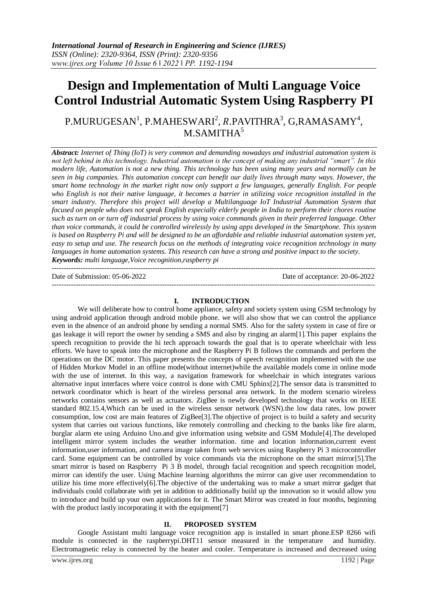# **Design and Implementation of Multi Language Voice Control Industrial Automatic System Using Raspberry PI**

## ${\rm P. MURUGESAN}^{\rm 1},$   ${\rm P. MAHESWARI}^{\rm 2},$   ${\rm R. PAVITHRA}^{\rm 3},$   ${\rm G, RAMASAMY}^{\rm 4},$  $M.SAMITHA<sup>5</sup>$

*Abstract: Internet of Thing (IoT) is very common and demanding nowadays and industrial automation system is not left behind in this technology. Industrial automation is the concept of making any industrial "smart". In this modern life, Automation is not a new thing. This technology has been using many years and normally can be seen in big companies. This automation concept can benefit our daily lives through many ways. However, the smart home technology in the market right now only support a few languages, generally English. For people who English is not their native language, it becomes a barrier in utilizing voice recognition installed in the smart industry. Therefore this project will develop a Multilanguage IoT Industrial Automation System that focused on people who does not speak English especially elderly people in India to perform their chores routine such as turn on or turn off industrial process by using voice commands given in their preferred language. Other than voice commands, it could be controlled wirelessly by using apps developed in the Smartphone. This system is based on Raspberry Pi and will be designed to be an affordable and reliable industrial automation system yet, easy to setup and use. The research focus on the methods of integrating voice recognition technology in many languages in home automation systems. This research can have a strong and positive impact to the society. Keywords: multi language,Voice recognition,raspberry pi*

--------------------------------------------------------------------------------------------------------------------------------------- Date of Submission: 05-06-2022 Date of acceptance: 20-06-2022

---------------------------------------------------------------------------------------------------------------------------------------

#### **I. INTRODUCTION**

We will deliberate how to control home appliance, safety and society system using GSM technology by using android application through android mobile phone. we will also show that we can control the appliance even in the absence of an android phone by sending a normal SMS. Also for the safety system in case of fire or gas leakage it will report the owner by sending a SMS and also by ringing an alarm[1].This paper explains the speech recognition to provide the hi tech approach towards the goal that is to operate wheelchair with less efforts. We have to speak into the microphone and the Raspberry Pi B follows the commands and perform the operations on the DC motor. This paper presents the concepts of speech recognition implemented with the use of Hidden Morkov Model in an offline mode(without internet)while the available models come in online mode with the use of internet. In this way, a navigation framework for wheelchair in which integrates various alternative input interfaces where voice control is done with CMU Sphinx[2].The sensor data is transmitted to network coordinator which is heart of the wireless personal area network. In the modern scenario wireless networks contains sensors as well as actuators. ZigBee is newly developed technology that works on IEEE standard 802.15.4,Which can be used in the wireless sensor network (WSN).the low data rates, low power consumption, low cost are main features of ZigBee[3].The objective of project is to build a safety and security system that carries out various functions, like remotely controlling and checking to the banks like fire alarm, burglar alarm ete using Arduino Uno.and give information using website and GSM Module[4].The developed intelligent mirror system includes the weather information. time and location information,current event information,user information, and camera image taken from web services using Raspberry Pi 3 microcontroller card. Some equipment can be controlled by voice commands via the microphone on the smart mirror[5].The smart mirror is based on Raspberry Pi 3 B model, through facial recognition and speech recognition model, mirror can identify the user. Using Machine learning algorithms the mirror can give user recommendation to utilize his time more effectively[6].The objective of the undertaking was to make a smart mirror gadget that individuals could collaborate with yet in addition to additionally build up the innovation so it would allow you to introduce and build up your own applications for it. The Smart Mirror was created in four months, beginning with the product lastly incorporating it with the equipment [7]

#### **II. PROPOSED SYSTEM**

Google Assistant multi language voice recognition app is installed in smart phone.ESP 8266 wifi module is connected in the raspberrypi.DHT11 sensor measured in the temperature and humidity. Electromagnetic relay is connected by the heater and cooler. Temperature is increased and decreased using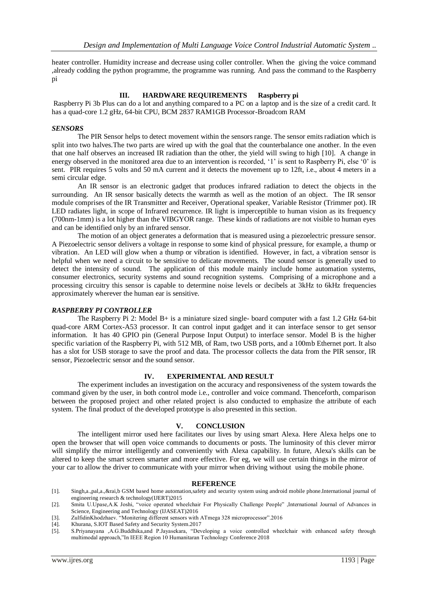heater controller. Humidity increase and decrease using coller controller. When the giving the voice command ,already codding the python programme, the programme was running. And pass the command to the Raspberry pi

#### **III. HARDWARE REQUIREMENTS Raspberry pi**

Raspberry Pi 3b Plus can do a lot and anything compared to a PC on a laptop and is the size of a credit card. It has a quad-core 1.2 gHz, 64-bit CPU, BCM 2837 RAM1GB Processor-Broadcom RAM

#### *SENSORS*

The PIR Sensor helps to detect movement within the sensors range. The sensor emits radiation which is split into two halves. The two parts are wired up with the goal that the counterbalance one another. In the even that one half observes an increased IR radiation than the other, the yield will swing to high [10]. A change in energy observed in the monitored area due to an intervention is recorded, '1' is sent to Raspberry Pi, else '0' is sent. PIR requires 5 volts and 50 mA current and it detects the movement up to 12ft, i.e., about 4 meters in a semi circular edge.

An IR sensor is an electronic gadget that produces infrared radiation to detect the objects in the surrounding. An IR sensor basically detects the warmth as well as the motion of an object. The IR sensor module comprises of the IR Transmitter and Receiver, Operational speaker, Variable Resistor (Trimmer pot). IR LED radiates light, in scope of Infrared recurrence. IR light is imperceptible to human vision as its frequency (700nm-1mm) is a lot higher than the VIBGYOR range. These kinds of radiations are not visible to human eyes and can be identified only by an infrared sensor.

The motion of an object generates a deformation that is measured using a piezoelectric pressure sensor. A Piezoelectric sensor delivers a voltage in response to some kind of physical pressure, for example, a thump or vibration. An LED will glow when a thump or vibration is identified. However, in fact, a vibration sensor is helpful when we need a circuit to be sensitive to delicate movements. The sound sensor is generally used to detect the intensity of sound. The application of this module mainly include home automation systems, consumer electronics, security systems and sound recognition systems. Comprising of a microphone and a processing circuitry this sensor is capable to determine noise levels or decibels at 3kHz to 6kHz frequencies approximately wherever the human ear is sensitive.

#### *RASPBERRY PI CONTROLLER*

The Raspberry Pi 2: Model B+ is a miniature sized single- board computer with a fast 1.2 GHz 64-bit quad-core ARM Cortex-A53 processor. It can control input gadget and it can interface sensor to get sensor information. It has 40 GPIO pin (General Purpose Input Output) to interface sensor. Model B is the higher specific variation of the Raspberry Pi, with 512 MB, of Ram, two USB ports, and a 100mb Ethernet port. It also has a slot for USB storage to save the proof and data. The processor collects the data from the PIR sensor, IR sensor, Piezoelectric sensor and the sound sensor.

#### **IV. EXPERIMENTAL AND RESULT**

The experiment includes an investigation on the accuracy and responsiveness of the system towards the command given by the user, in both control mode i.e., controller and voice command. Thenceforth, comparison between the proposed project and other related project is also conducted to emphasize the attribute of each system. The final product of the developed prototype is also presented in this section.

#### **V. CONCLUSION**

The intelligent mirror used here facilitates our lives by using smart Alexa. Here Alexa helps one to open the browser that will open voice commands to documents or posts. The luminosity of this clever mirror will simplify the mirror intelligently and conveniently with Alexa capability. In future, Alexa's skills can be altered to keep the smart screen smarter and more effective. For eg, we will use certain things in the mirror of your car to allow the driver to communicate with your mirror when driving without using the mobile phone.

#### **REFERENCE**

- [1]. Singh,a.,pal,a.,&rai,b GSM based home automation,safety and security system using android mobile phone.International journal of engineering research & technology(IJERT)2015
- [2]. Smita U.Upase,A.K Joshi, "voice operated wheelchair For Physically Challenge People" ,International Journal of Advances in Science, Engineering and Technology (IJASEAT)2016

- [4]. Khurana, S.IOT Based Safety and Security System.2017
- [5]. S.Priyanayana ,A.G.Buddhika,and P.Jayasekara, "Developing a voice controlled wheelchair with enhanced safety through multimodal approach,"In IEEE Region 10 Humanitaran Technology Conference 2018

<sup>[3].</sup> ZulfidinKhodzhaev. "Monitering different sensors with ATmega 328 microprocessor".2016